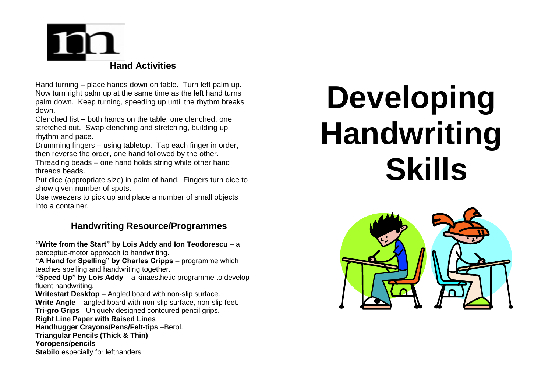

Hand turning – place hands down on table. Turn left palm up. Now turn right palm up at the same time as the left hand turns palm down. Keep turning, speeding up until the rhythm breaks down.

Clenched fist – both hands on the table, one clenched, one stretched out. Swap clenching and stretching, building up rhythm and pace.

Drumming fingers – using tabletop. Tap each finger in order, then reverse the order, one hand followed by the other.

Threading beads – one hand holds string while other hand threads beads.

Put dice (appropriate size) in palm of hand. Fingers turn dice to show given number of spots.

Use tweezers to pick up and place a number of small objects into a container.

#### **Handwriting Resource/Programmes**

**"Write from the Start" by Lois Addy and Ion Teodorescu** – a perceptuo-motor approach to handwriting.

**"A Hand for Spelling" by Charles Cripps** – programme which teaches spelling and handwriting together.

**"Speed Up" by Lois Addy** – a kinaesthetic programme to develop fluent handwriting.

**Writestart Desktop** – Angled board with non-slip surface. **Write Angle** – angled board with non-slip surface, non-slip feet. **Tri-gro Grips** - Uniquely designed contoured pencil grips. **Right Line Paper with Raised Lines Handhugger Crayons/Pens/Felt-tips** –Berol. **Triangular Pencils (Thick & Thin)**

**Yoropens/pencils** 

**Stabilo** especially for lefthanders

## **Developing Handwriting Skills**

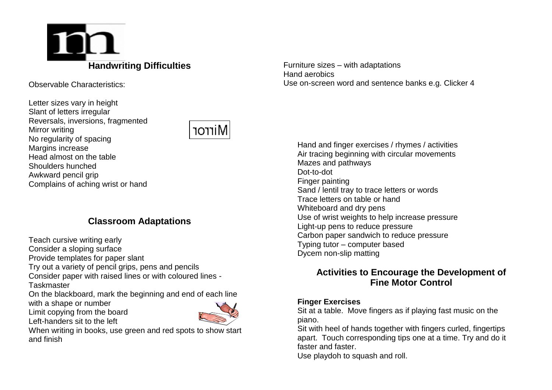### 10 **Handwriting Difficulties**

Observable Characteristics:

Letter sizes vary in height Slant of letters irregular Reversals, inversions, fragmented Mirror writing No regularity of spacing Margins increase Head almost on the table Shoulders hunched Awkward pencil grip Complains of aching wrist or hand



#### **Classroom Adaptations**

Teach cursive writing early

Consider a sloping surface

Provide templates for paper slant

Try out a variety of pencil grips, pens and pencils

Consider paper with raised lines or with coloured lines - **Taskmaster** 

On the blackboard, mark the beginning and end of each line

with a shape or number

Limit copying from the board





When writing in books, use green and red spots to show start and finish

Furniture sizes – with adaptations Hand aerobics Use on-screen word and sentence banks e.g. Clicker 4

Hand and finger exercises / rhymes / activities Air tracing beginning with circular movements Mazes and pathways Dot-to-dot Finger painting Sand / lentil tray to trace letters or words Trace letters on table or hand Whiteboard and dry pens Use of wrist weights to help increase pressure Light-up pens to reduce pressure Carbon paper sandwich to reduce pressure Typing tutor – computer based Dycem non-slip matting

#### **Activities to Encourage the Development of Fine Motor Control**

#### **Finger Exercises**

Sit at a table. Move fingers as if playing fast music on the piano.

Sit with heel of hands together with fingers curled, fingertips apart. Touch corresponding tips one at a time. Try and do it faster and faster.

Use playdoh to squash and roll.